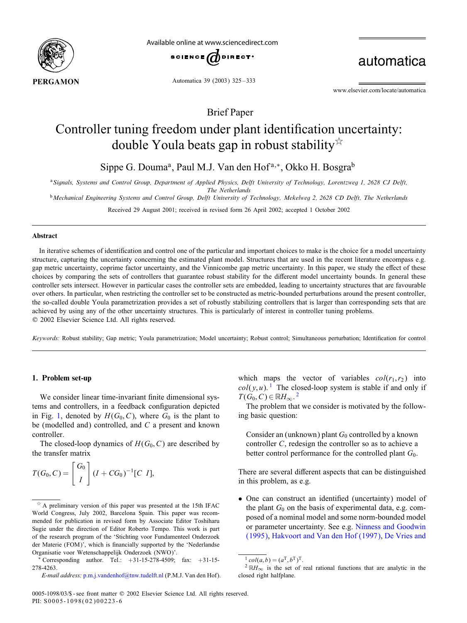

Available online at www.sciencedirect.com



automatica

Automatica 39 (2003) 325 – 333

www.elsevier.com/locate/automatica

Brief Paper

# Controller tuning freedom under plant identification uncertainty: double Youla beats gap in robust stability  $\overline{x}$

Sippe G. Douma<sup>a</sup>, Paul M.J. Van den Hof<sup>a,∗</sup>, Okko H. Bosgra<sup>b</sup>

<sup>a</sup>*Signals, Systems and Control Group, Department of Applied Physics, Delft University of Technology, Lorentzweg 1, 2628 CJ Delft,*

*The Netherlands*

<sup>b</sup>*Mechanical Engineering Systems and Control Group, Delft University of Technology, Mekelweg 2, 2628 CD Delft, The Netherlands*

Received 29 August 2001; received in revised form 26 April 2002; accepted 1 October 2002

#### Abstract

In iterative schemes of identification and control one of the particular and important choices to make is the choice for a model uncertainty structure, capturing the uncertainty concerning the estimated plant model. Structures that are used in the recent literature encompass e.g. gap metric uncertainty, coprime factor uncertainty, and the Vinnicombe gap metric uncertainty. In this paper, we study the effect of these choices by comparing the sets of controllers that guarantee robust stability for the different model uncertainty bounds. In general these controller sets intersect. However in particular cases the controller sets are embedded, leading to uncertainty structures that are favourable over others. In particular, when restricting the controller set to be constructed as metric-bounded perturbations around the present controller, the so-called double Youla parametrization provides a set of robustly stabilizing controllers that is larger than corresponding sets that are achieved by using any of the other uncertainty structures. This is particularly of interest in controller tuning problems. ? 2002 Elsevier Science Ltd. All rights reserved.

Keywords: Robust stability; Gap metric; Youla parametrization; Model uncertainty; Robust control; Simultaneous perturbation; Identification for control

### 1. Problem set-up

We consider linear time-invariant finite dimensional systems and controllers, in a feedback configuration depicted in Fig. [1,](#page-1-0) denoted by  $H(G_0, C)$ , where  $G_0$  is the plant to be (modelled and) controlled, and  $C$  a present and known controller.

The closed-loop dynamics of  $H(G_0, C)$  are described by the transfer matrix

$$
T(G_0, C) = \begin{bmatrix} G_0 \\ I \end{bmatrix} (I + CG_0)^{-1} [C \ I],
$$

which maps the vector of variables  $col(r_1, r_2)$  into  $col(y, u)$ . <sup>1</sup> The closed-loop system is stable if and only if  $T(G_0, C) \in \mathbb{R}$ H<sub>∞</sub>.<sup>2</sup>

The problem that we consider is motivated by the following basic question:

Consider an (unknown) plant  $G_0$  controlled by a known controller C, redesign the controller so as to achieve a better control performance for the controlled plant  $G_0$ .

There are several different aspects that can be distinguished in this problem, as e.g.

• One can construct an identified (uncertainty) model of the plant  $G_0$  on the basis of experimental data, e.g. composed of a nominal model and some norm-bounded model or parameter uncertainty. See e.g. Ninness and Goodwin [\(1995\),](#page-7-0) Hakvoort and Van den Hof (1997), [De Vries and](#page-7-0)

 $\overrightarrow{A}$  A preliminary version of this paper was presented at the 15th IFAC World Congress, July 2002, Barcelona Spain. This paper was recommended for publication in revised form by Associate Editor Toshiharu Sugie under the direction of Editor Roberto Tempo. This work is part of the research program of the 'Stichting voor Fundamenteel Onderzoek der Materie (FOM)', which is financially supported by the 'Nederlandse Organisatie voor Wetenschappelijk Onderzoek (NWO)'.

<sup>∗</sup> Corresponding author. Tel.: +31-15-278-4509; fax: +31-15- 278-4263.

*E-mail address:* [p.m.j.vandenhof@tnw.tudelft.nl](mailto:p.m.j.vandenhof@tnw.tudelft.nl) (P.M.J. Van den Hof).

 $^{1}$  col(a, b) = (a<sup>T</sup>, b<sup>T</sup>)<sup>T</sup>.

 $2 \mathbb{R}H_{\infty}$  is the set of real rational functions that are analytic in the closed right halfplane.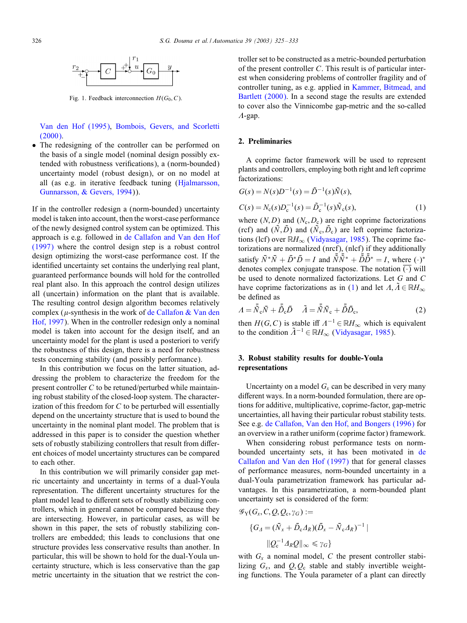<span id="page-1-0"></span>

Fig. 1. Feedback interconnection  $H(G_0, C)$ .

[Van den Hof \(1995\),](#page-7-0) Bombois, Gevers, and Scorletti [\(2000\).](#page-7-0)

• The redesigning of the controller can be performed on the basis of a single model (nominal design possibly extended with robustness verifications), a (norm-bounded) uncertainty model (robust design), or on no model at all (as e.g. in iterative feedback tuning [\(Hjalmarsson,](#page-7-0) [Gunnarsson, & Gevers, 1994\)](#page-7-0)).

If in the controller redesign a (norm-bounded) uncertainty model is taken into account, then the worst-case performance of the newly designed control system can be optimized. This approach is e.g. followed in [de Callafon and Van den Hof](#page-7-0) [\(1997\)](#page-7-0) where the control design step is a robust control design optimizing the worst-case performance cost. If the identified uncertainty set contains the underlying real plant, guaranteed performance bounds will hold for the controlled real plant also. In this approach the control design utilizes all (uncertain) information on the plant that is available. The resulting control design algorithm becomes relatively complex ( $\mu$ -synthesis in the work of [de Callafon & Van den](#page-7-0) [Hof, 1997\)](#page-7-0). When in the controller redesign only a nominal model is taken into account for the design itself, and an uncertainty model for the plant is used a posteriori to verify the robustness of this design, there is a need for robustness tests concerning stability (and possibly performance).

In this contribution we focus on the latter situation, addressing the problem to characterize the freedom for the present controller C to be retuned/perturbed while maintaining robust stability of the closed-loop system. The characterization of this freedom for  $C$  to be perturbed will essentially depend on the uncertainty structure that is used to bound the uncertainty in the nominal plant model. The problem that is addressed in this paper is to consider the question whether sets of robustly stabilizing controllers that result from different choices of model uncertainty structures can be compared to each other.

In this contribution we will primarily consider gap metric uncertainty and uncertainty in terms of a dual-Youla representation. The different uncertainty structures for the plant model lead to different sets of robustly stabilizing controllers, which in general cannot be compared because they are intersecting. However, in particular cases, as will be shown in this paper, the sets of robustly stabilizing controllers are embedded; this leads to conclusions that one structure provides less conservative results than another. In particular, this will be shown to hold for the dual-Youla uncertainty structure, which is less conservative than the gap metric uncertainty in the situation that we restrict the controller set to be constructed as a metric-bounded perturbation of the present controller C. This result is of particular interest when considering problems of controller fragility and of controller tuning, as e.g. applied in [Kammer, Bitmead, and](#page-7-0) [Bartlett \(2000\).](#page-7-0) In a second stage the results are extended to cover also the Vinnicombe gap-metric and the so-called  $A$ -gap.

# 2. Preliminaries

A coprime factor framework will be used to represent plants and controllers, employing both right and left coprime factorizations:

$$
G(s) = N(s)D^{-1}(s) = \tilde{D}^{-1}(s)\tilde{N}(s),
$$
  
\n
$$
C(s) = N_c(s)D_c^{-1}(s) = \tilde{D}_c^{-1}(s)\tilde{N}_c(s),
$$
\n(1)

where  $(N, D)$  and  $(N_c, D_c)$  are right coprime factorizations (rcf) and  $(\tilde{N}, \tilde{D})$  and  $(\tilde{N}_c, \tilde{D}_c)$  are left coprime factorizations (lcf) over  $\mathbb{R}H_{\infty}$  [\(Vidyasagar, 1985\)](#page-7-0). The coprime factorizations are normalized (nrcf), (nlcf) if they additionally satisfy  $\bar{N}^*\bar{N} + \bar{D}^*\bar{D} = I$  and  $\bar{\tilde{N}}\bar{\tilde{N}}^* + \bar{\tilde{D}}\bar{\tilde{D}}^* = I$ , where  $(\cdot)^*$ denotes complex conjugate transpose. The notation  $\overline{(\cdot)}$  will be used to denote normalized factorizations. Let  $G$  and  $C$ have coprime factorizations as in (1) and let  $\Lambda, \Lambda \in \mathbb{R}$ H<sub>∞</sub> be defined as

$$
A = \bar{\tilde{N}}_c \bar{N} + \bar{\tilde{D}}_c \bar{D} \quad \tilde{A} = \bar{\tilde{N}} \bar{N}_c + \bar{\tilde{D}} \bar{D}_c,\tag{2}
$$

then  $H(G, C)$  is stable iff  $\Lambda^{-1} \in \mathbb{R}$ H<sub>∞</sub> which is equivalent to the condition  $\tilde{\Lambda}^{-1} \in \mathbb{R}$ H<sub>∞</sub> [\(Vidyasagar, 1985\)](#page-7-0).

# 3. Robust stability results for double-Youla representations

Uncertainty on a model  $G_x$  can be described in very many different ways. In a norm-bounded formulation, there are options for additive, multiplicative, coprime-factor, gap-metric uncertainties, all having their particular robust stability tests. See e.g. [de Callafon, Van den Hof, and Bongers \(1996\)](#page-7-0) for an overview in a rather uniform (coprime factor) framework.

When considering robust performance tests on normboun[de](#page-7-0)d uncertainty sets, it has been motivated in de Callafon and Van den Hof (1997) that for general classes of performance measures, norm-bounded uncertainty in a dual-Youla parametrization framework has particular advantages. In this parametrization, a norm-bounded plant uncertainty set is considered of the form:

$$
\mathscr{G}_{\mathbf{Y}}(G_{x}, C, Q, Q_{c}, \gamma_{G}) :=
$$
  

$$
\{G_{\Delta} = (\bar{N}_{x} + \bar{D}_{c}\Delta_{R})(\bar{D}_{x} - \bar{N}_{c}\Delta_{R})^{-1} |
$$
  

$$
\|Q_{c}^{-1}\Delta_{R}Q\|_{\infty} \leq \gamma_{G}\}
$$

with  $G_x$  a nominal model, C the present controller stabilizing  $G_x$ , and  $Q, Q_c$  stable and stably invertible weighting functions. The Youla parameter of a plant can directly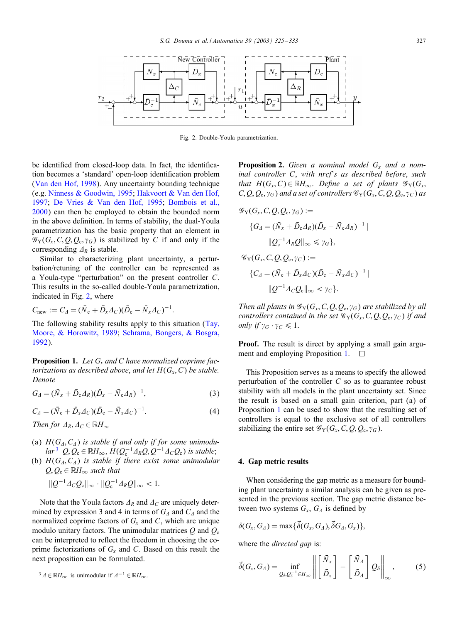<span id="page-2-0"></span>

Fig. 2. Double-Youla parametrization.

be identified from closed-loop data. In fact, the identification becomes a 'standard' open-loop identification problem [\(Van den Hof, 1998\)](#page-7-0). Any uncertainty bounding technique (e.g. [Ninness & Goodwin, 1995;](#page-7-0) [Hakvoort & Van den Hof,](#page-7-0) [1997;](#page-7-0) [De Vries & Van den Hof, 1995;](#page-7-0) [Bombois et al.,](#page-7-0)  $2000$ ) can then be employed to obtain the bounded norm in the above definition. In terms of stability, the dual-Youla parametrization has the basic property that an element in  $\mathscr{G}_{Y}(G_{x}, C, Q, Q_{c}, \gamma_{G})$  is stabilized by C if and only if the corresponding  $\Delta_R$  is stable.

Similar to characterizing plant uncertainty, a perturbation/retuning of the controller can be represented as a Youla-type "perturbation" on the present controller C. This results in the so-called double-Youla parametrization, indicated in Fig. 2, where

$$
C_{\text{new}} := C_A = (\bar{N}_c + \bar{D}_x A_C)(\bar{D}_c - \bar{N}_x A_C)^{-1}.
$$

The following stability results apply to this situation [\(Tay,](#page-7-0) [Moore, & Horowitz, 1989;](#page-7-0) Schrama, Bongers, & Bosgra, 1992).

**Proposition 1.** Let  $G_x$  and C have normalized coprime fac*torizations as described above, and let*  $H(G<sub>x</sub>, C)$  *be stable. Denote*

$$
G_A = (\bar{N}_x + \bar{D}_c A_R)(\bar{D}_x - \bar{N}_c A_R)^{-1},
$$
\n(3)

$$
C_{\Delta} = (\bar{N}_{c} + \bar{D}_{x}A_{C})(\bar{D}_{c} - \bar{N}_{x}A_{C})^{-1}.
$$
\n(4)

*Then for*  $\varDelta_R$ ,  $\varDelta_C \in \mathbb{R}$ *H*<sub>∞</sub>

- (a)  $H(G_A, C_A)$  *is stable if and only if for some unimodular*<sup>3</sup>  $Q, Q_c \in \mathbb{R}$ *H*<sub>∞</sub>,  $H(Q_c^{-1}A_RQ, Q^{-1}A_cQ_c)$  *is stable*;
- (b)  $H(G_A, C_A)$  *is stable if there exist some unimodular*  $Q, Q_c \in \mathbb{R}$ H<sub>∞</sub> such that  $||Q^{-1} \Delta_C Q_c||_{\infty} \cdot ||Q_c^{-1} \Delta_R Q||_{\infty} < 1.$

Note that the Youla factors  $\Delta_R$  and  $\Delta_C$  are uniquely determined by expression 3 and 4 in terms of  $G_A$  and  $C_A$  and the normalized coprime factors of  $G_x$  and C, which are unique modulo unitary factors. The unimodular matrices  $Q$  and  $Q_c$ can be interpreted to reflect the freedom in choosing the coprime factorizations of  $G_x$  and C. Based on this result the next proposition can be formulated.

**Proposition 2.** Given a nominal model  $G_x$  and a nom*inal controller* C, *with nrcf*'*s as described before*, *such that*  $H(G_x, C) \in \mathbb{R}$ *H*<sub>∞</sub>. *Define a set of plants*  $\mathscr{G}_Y(G_x, C)$  $C, Q, Q_c, \gamma_G$  *and a set of controllers*  $\mathcal{C}_Y(G_x, C, Q, Q_c, \gamma_C)$  *as* 

$$
\mathcal{G}_{Y}(G_{x}, C, Q, Q_{c}, \gamma_{G}) :=
$$
\n
$$
\{G_{\Delta} = (\bar{N}_{x} + \bar{D}_{c}A_{R})(\bar{D}_{x} - \bar{N}_{c}A_{R})^{-1} |
$$
\n
$$
||Q_{c}^{-1}A_{R}Q||_{\infty} \leq \gamma_{G}\},
$$
\n
$$
\mathcal{C}_{Y}(G_{x}, C, Q, Q_{c}, \gamma_{C}) :=
$$
\n
$$
\{C_{\Delta} = (\bar{N}_{c} + \bar{D}_{x}A_{C})(\bar{D}_{c} - \bar{N}_{x}A_{C})^{-1} |
$$
\n
$$
||Q^{-1}A_{C}Q_{c}||_{\infty} < \gamma_{C}\}.
$$

*Then all plants in*  $\mathscr{G}_{Y}(G_{x}, C, Q, Q_{c}, \gamma_{G})$  *are stabilized by all controllers contained in the set*  $\mathcal{C}_Y(G_x, C, Q, Q_c, \gamma_C)$  *if and only if*  $\gamma_G \cdot \gamma_C \leq 1$ .

**Proof.** The result is direct by applying a small gain argument and employing Proposition 1.  $\square$ 

This Proposition serves as a means to specify the allowed perturbation of the controller  $C$  so as to guarantee robust stability with all models in the plant uncertainty set. Since the result is based on a small gain criterion, part (a) of Proposition  $1$  can be used to show that the resulting set of controllers is equal to the exclusive set of all controllers stabilizing the entire set  $\mathscr{G}_{Y}(G_{x}, C, Q, Q_{c}, \gamma_{G}).$ 

# 4. Gap metric results

When considering the gap metric as a measure for bounding plant uncertainty a similar analysis can be given as presented in the previous section. The gap metric distance between two systems  $G_x$ ,  $G_A$  is defined by

$$
\delta(G_x, G_{\Lambda}) = \max{\{\vec{\delta}(G_x, G_{\Lambda}), \vec{\delta}G_{\Lambda}, G_x)\}},
$$

where the *directed gap* is:

$$
\vec{\delta}(G_x, G_{\Delta}) = \inf_{Q_{\delta}, Q_{\delta}^{-1} \in H_{\infty}} \left\| \begin{bmatrix} \bar{N}_x \\ \bar{D}_x \end{bmatrix} - \begin{bmatrix} \bar{N}_{\Delta} \\ \bar{D}_{\Delta} \end{bmatrix} Q_{\delta} \right\|_{\infty},
$$
(5)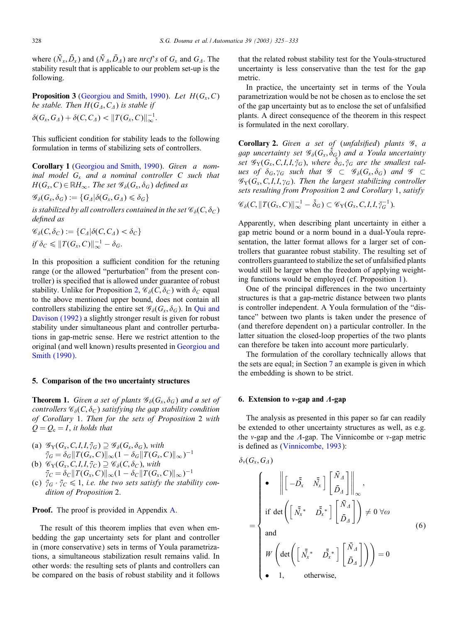<span id="page-3-0"></span>where  $(\bar{N}_x, \bar{D}_x)$  and  $(\bar{N}_A, \bar{D}_A)$  are *nrcf*'s of  $G_x$  and  $G_A$ . The stability result that is applicable to our problem set-up is the following.

**Proposition 3** (Georgiou and Smith, 1990). Let  $H(G_x, C)$ *be stable. Then*  $H(G_A, C_A)$  *is stable if*  $\delta(G_x, G_A) + \delta(C, C_A) < ||T(G_x, C)||_{\infty}^{-1}.$ 

This sufficient condition for stability leads to the following formulation in terms of stabilizing sets of controllers.

Corollary 1 (Georgiou and Smith, 1990). *Given a nominal model* Gx *and a nominal controller* C *such that*  $H(G_x, C) \in \mathbb{R}$ H<sub>∞</sub>. *The set*  $\mathscr{G}_{\delta}(G_x, \delta_G)$  *defined as* 

$$
\mathscr{G}_{\delta}(G_x,\delta_G):=\{G_A|\delta(G_x,G_A)\leqslant \delta_G\}
$$

*is stabilized by all controllers contained in the set*  $\mathscr{C}_{\delta}(C, \delta_C)$ *de7ned as*

$$
\mathscr{C}_{\delta}(C,\delta_C) := \{C_A|\delta(C,C_A) < \delta_C\}
$$
\n
$$
if \delta_C \leq ||T(G_x,C)||_{\infty}^{-1} - \delta_G.
$$

In this proposition a sufficient condition for the retuning range (or the allowed "perturbation" from the present controller) is specified that is allowed under guarantee of robust stability. Unlike for Proposition [2,](#page-2-0)  $\mathcal{C}_{\delta}(C, \delta_C)$  with  $\delta_C$  equal to the above mentioned upper bound, does not contain all controllers stabilizing the entire set  $\mathscr{G}_{\delta}(G_{x}, \delta_{G})$ . In [Qui and](#page-7-0) [Davison \(1992\)](#page-7-0) a slightly stronger result is given for robust stability under simultaneous plant and controller perturbations in gap-metric sense. Here we restrict attention to the original (and well known) results presented in [Georgiou and](#page-7-0) [Smith \(1990\).](#page-7-0)

#### 5. Comparison of the two uncertainty structures

**Theorem 1.** *Given a set of plants*  $\mathscr{G}_{\delta}(G_x, \delta_G)$  *and a set of controllers*  $\mathcal{C}_{\delta}(C, \delta_C)$  *satisfying the gap stability condition of Corollary* 1. *Then for the sets of Proposition* 2 *with*  $Q = Q_{c} = I$ , *it holds that* 

- (a)  $\mathscr{G}_{Y}(G_{x}, C, I, I, \bar{\gamma}_{G}) \supseteq \mathscr{G}_{\delta}(G_{x}, \delta_{G}),$  with  $\bar{\gamma}_G = \delta_G ||T(G_x, C)||_{\infty} (1 - \delta_G ||T(G_x, C)||_{\infty})^{-1}$
- (b)  $\mathscr{C}_{Y}(G_x, C, I, I, \overline{\gamma}_C) \supseteq \mathscr{C}_{\delta}(C, \delta_C)$ , *with*  $\bar{\gamma}_C = \delta_C ||T(G_x, C)||_{\infty} (1 - \delta_C ||T(G_x, C)||_{\infty})^{-1}$
- (c)  $\bar{\gamma}_G \cdot \bar{\gamma}_C \leq 1$ , *i.e. the two sets satisfy the stability condition of Proposition* 2.

# **Proof.** The proof is provided in Appendix [A.](#page-6-0)

The result of this theorem implies that even when embedding the gap uncertainty sets for plant and controller in (more conservative) sets in terms of Youla parametrizations, a simultaneous stabilization result remains valid. In other words: the resulting sets of plants and controllers can be compared on the basis of robust stability and it follows

that the related robust stability test for the Youla-structured uncertainty is less conservative than the test for the gap metric.

In practice, the uncertainty set in terms of the Youla parametrization would be not be chosen as to enclose the set of the gap uncertainty but as to enclose the set of unfalsified plants. A direct consequence of the theorem in this respect is formulated in the next corollary.

Corollary 2. *Given a set of* (*unfalsi7ed*) *plants* G, *a* gap uncertainty set  $\mathscr{G}_{\delta}(G_x,\check{\delta}_G)$  and a Youla uncertainty set  $\mathscr{G}_{Y}(G_{x},C,I,I,\check{\gamma}_{G}),$  where  $\check{\delta}_{G},\check{\gamma}_{G}$  are the smallest val*ues of*  $\delta_G$ ,  $\gamma_G$  *such that*  $\mathscr{G} \subset \mathscr{G}_{\delta}(G_x, \delta_G)$  *and*  $\mathscr{G} \subset$  $\mathscr{G}_{Y}(G_{x}, C, I, I, \gamma_{G})$ . *Then the largest stabilizing controller sets resulting from Proposition* 2 *and Corollary* 1, *satisfy*

$$
\mathscr{C}_{\delta}(C, ||T(G_x, C)||_{\infty}^{-1} - \check{\delta}_G) \subset \mathscr{C}_{\mathrm{Y}}(G_x, C, I, I, \check{\gamma}_G^{-1}).
$$

Apparently, when describing plant uncertainty in either a gap metric bound or a norm bound in a dual-Youla representation, the latter format allows for a larger set of controllers that guarantee robust stability. The resulting set of controllers guaranteed to stabilize the set of unfalsified plants would still be larger when the freedom of applying weighting functions would be employed (cf. Proposition  $1$ ).

One of the principal differences in the two uncertainty structures is that a gap-metric distance between two plants is controller independent. A Youla formulation of the "distance" between two plants is taken under the presence of (and therefore dependent on) a particular controller. In the latter situation the closed-loop properties of the two plants can therefore be taken into account more particularly.

The formulation of the corollary technically allows that the sets are equal; in Section [7](#page-4-0) an example is given in which the embedding is shown to be strict.

# 6. Extension to v-gap and A-gap

The analysis as presented in this paper so far can readily be extended to other uncertainty structures as well, as e.g. the *v*-gap and the  $\Lambda$ -gap. The Vinnicombe or *v*-gap metric is defined as [\(Vinnicombe, 1993\)](#page-7-0):

$$
\delta_{\nu}(G_{x}, G_{A})
$$
\n
$$
= \begin{cases}\n\bullet \parallel \left[ -\overline{\tilde{D}}_{x} & \overline{\tilde{N}}_{x} \right] \left[ \overline{\tilde{D}}_{A} \right] \parallel_{\infty}, \\
\text{if } \det \left( \left[ \overline{\tilde{N}}_{x}^{*} & \overline{\tilde{D}}_{x}^{*} \right] \left[ \overline{\tilde{D}}_{A} \right] \right) \neq 0 \ \forall \omega\n\end{cases}
$$
\n
$$
W \det \left( \left[ \overline{\tilde{N}}_{x}^{*} & \overline{\tilde{D}}_{x}^{*} \right] \left[ \overline{\tilde{D}}_{A} \right] \right) = 0
$$
\n
$$
W \det \left( \overline{\tilde{N}}_{x}^{*} & \overline{\tilde{D}}_{x}^{*} \right) \left[ \overline{\tilde{D}}_{A} \right] \right) = 0
$$
\n
$$
\bullet \quad 1, \quad \text{otherwise,}
$$
\n(6)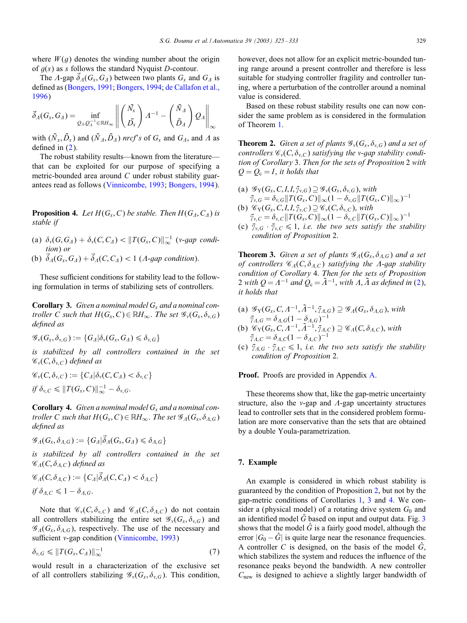<span id="page-4-0"></span>where  $W(q)$  denotes the winding number about the origin of  $g(s)$  as s follows the standard Nyquist D-contour.

The  $\Lambda$ -gap  $\delta_A(G_x, G_A)$  between two plants  $G_x$  and  $G_A$  is defined as [\(Bongers, 1991;](#page-7-0) [Bongers, 1994;](#page-7-0) [de Callafon et al.,](#page-7-0) [1996\)](#page-7-0)

$$
\vec{\delta}_A(G_x, G_A) = \inf_{Q_A, Q_A^{-1} \in \mathbb{R}H_\infty} \left\| \begin{pmatrix} \bar{N_x} \\ \bar{D_x} \end{pmatrix} A^{-1} - \begin{pmatrix} \bar{N}_A \\ \bar{D}_A \end{pmatrix} Q_A \right\|_\infty
$$

with  $(\bar{N}_x, \bar{D}_x)$  and  $(\bar{N}_A, \bar{D}_A)$  *nrcf*'s of  $G_x$  and  $G_A$ , and  $\Lambda$  as defined in  $(2)$ .

The robust stability results—known from the literature that can be exploited for our purpose of specifying a metric-bounded area around C under robust stability guar-antees read as follows [\(Vinnicombe, 1993;](#page-7-0) [Bongers, 1994\)](#page-7-0).

**Proposition 4.** Let  $H(G_x, C)$  be stable. Then  $H(G_A, C_A)$  is *stable if*

- (a)  $\delta_{\nu}(G, G_A) + \delta_{\nu}(C, C_A) < ||T(G_{x}, C)||_{\infty}^{-1}$  (*v-gap condition*) *or*
- (b)  $\vec{\delta}_A(G_x, G_A) + \vec{\delta}_A(C, C_A) < 1$  (*A-gap condition*).

These sufficient conditions for stability lead to the following formulation in terms of stabilizing sets of controllers.

Corollary 3. Given a nominal model G<sub>x</sub> and a nominal con*troller C such that*  $H(G_x, C) \in \mathbb{R}$ *H*<sub>∞</sub>. *The set*  $\mathcal{G}_y(G_x, \delta_{y,G})$ *de7ned as*

$$
{\mathscr G}_v(G_x,\delta_{v,G}):=\{G_A|\delta_v(G_x,G_A)\leqslant \delta_{v,G}\}
$$

*is stabilized by all controllers contained in the set*  $\mathscr{C}_v(C, \delta_{v,C})$  *defined as* 

$$
\mathscr{C}_v(C,\delta_{v,C}) := \{C_\Lambda|\delta_v(C,C_\Lambda) < \delta_{v,C}\}\
$$
\n
$$
if \delta_{v,C} \leq ||T(G_x,C)||_{\infty}^{-1} - \delta_{v,G}.
$$

Corollary 4. Given a nominal model G<sub>x</sub> and a nominal con*troller C such that*  $H(G_x, C) \in \mathbb{R}$ *H*<sub>∞</sub>. *The set*  $\mathscr{G}_A(G_x, \delta_{A,G})$ *de7ned as*

$$
\mathscr{G}_A(G_x,\delta_{A,G}):=\{G_A|\vec{\delta}_A(G_x,G_A)\leqslant \delta_{A,G}\}
$$

*is stabilized by all controllers contained in the set*  $\mathscr{C}_{A}(C,\delta_{A,C})$  *defined as* 

$$
\mathcal{C}_A(C, \delta_{A,C}) := \{C_A | \vec{\delta}_A(C, C_A) < \delta_{A,C} \}
$$
\n
$$
if \delta_{A,C} \leq 1 - \delta_{A,G}.
$$

Note that  $\mathcal{C}_v(C, \delta_{v,C})$  and  $\mathcal{C}_A(C, \delta_{A,C})$  do not contain all controllers stabilizing the entire set  $\mathscr{G}_{\nu}(G_{x}, \delta_{\nu,G})$  and  $\mathscr{G}_{A}(G_{x}, \delta_{A,G})$ , respectively. The use of the necessary and sufficient v-gap condition [\(Vinnicombe, 1993\)](#page-7-0)

$$
\delta_{v,G} \leqslant \|T(G_x, C_A)\|_{\infty}^{-1} \tag{7}
$$

would result in a characterization of the exclusive set of all controllers stabilizing  $\mathscr{G}_{\nu}(G_{x}, \delta_{\nu,G})$ . This condition, however, does not allow for an explicit metric-bounded tuning range around a present controller and therefore is less suitable for studying controller fragility and controller tuning, where a perturbation of the controller around a nominal value is considered.

Based on these robust stability results one can now consider the same problem as is considered in the formulation of Theorem [1.](#page-3-0)

**Theorem 2.** *Given a set of plants*  $\mathscr{G}_{\nu}(G_{x}, \delta_{\nu,G})$  *and a set of controllers*  $\mathscr{C}_v(C, \delta_{v,C})$  *satisfying the v*-*gap stability condition of Corollary* 3. *Then for the sets of Proposition* 2 *with*  $Q = Q_c = I$ , *it holds that* 

- (a)  $\mathscr{G}_Y(G_x, C, I, I, \bar{\gamma}_{v,G}) \supseteq \mathscr{G}_y(G_x, \delta_{v,G}),$  with  $\bar{\gamma}_{v,G} = \delta_{v,G} ||T(G_x, C)||_{\infty} (1 - \delta_{v,G} ||T(G_x, C)||_{\infty})^{-1}$ (b)  $\mathscr{C}_{Y}(G_x, C, I, I, \bar{\gamma}_{v,C}) \supseteq \mathscr{C}_{v}(C, \delta_{v,C}),$  with
- $\bar{\gamma}_{v,C} = \delta_{v,C} ||T(G_x, C)||_{\infty} (1 \delta_{v,C} ||T(G_x, C)||_{\infty})^{-1}$
- (c)  $\bar{\gamma}_{v,G} \cdot \bar{\gamma}_{v,C} \leq 1$ , *i.e. the two sets satisfy the stability condition of Proposition* 2.

**Theorem 3.** *Given a set of plants*  $\mathscr{G}_A(G_\mathfrak{x}, \delta_{A,G})$  *and a set of controllers*  $\mathcal{C}_A(C, \delta_{A,C})$  *satisfying the A-gap stability condition of Corollary* 4. *Then for the sets of Proposition* 2 *with*  $Q = A^{-1}$  *and*  $Q_c = \tilde{A}^{-1}$ *, with*  $A, \tilde{A}$  *as defined in* [\(2\)](#page-1-0), *it holds that*

- (a)  $\mathscr{G}_{Y}(G_{x}, C, \Lambda^{-1}, \tilde{\Lambda}^{-1}, \tilde{\gamma}_{A, G}) \supseteq \mathscr{G}_{\Lambda}(G_{x}, \delta_{A, G}),$  with  $\bar{\gamma}_{A,G} = \delta_{A,G} (1 - \delta_{A,G})^{-1}$
- (b)  $\mathscr{C}_{Y}(G_{x}, C, A^{-1}, \tilde{A}^{-1}, \tilde{\gamma}_{A,C}) \supseteq \mathscr{C}_{A}(C, \delta_{A,C}),$  with  $\bar{\gamma}_{A,C} = \delta_{A,C} (1 - \delta_{A,C})^{-1}$
- (c)  $\bar{\gamma}_{A,G} \cdot \bar{\gamma}_{A,C} \leq 1$ , *i.e. the two sets satisfy the stability condition of Proposition* 2.

**Proof.** Proofs are provided in Appendix [A.](#page-6-0)

These theorems show that, like the gap-metric uncertainty structure, also the  $v$ -gap and  $\Lambda$ -gap uncertainty structures lead to controller sets that in the considered problem formulation are more conservative than the sets that are obtained by a double Youla-parametrization.

### 7. Example

An example is considered in which robust stability is guaranteed by the condition of Proposition  $2$ , but not by the gap-metric conditions of Corollaries [1,](#page-3-0) 3 and 4. We consider a (physical model) of a rotating drive system  $G_0$  and an identified model  $\tilde{G}$  based on input and output data. Fig. [3](#page-5-0) shows that the model  $\hat{G}$  is a fairly good model, although the error  $|G_0 - \hat{G}|$  is quite large near the resonance frequencies. A controller C is designed, on the basis of the model  $\hat{G}$ , which stabilizes the system and reduces the influence of the resonance peaks beyond the bandwidth. A new controller  $C<sub>new</sub>$  is designed to achieve a slightly larger bandwidth of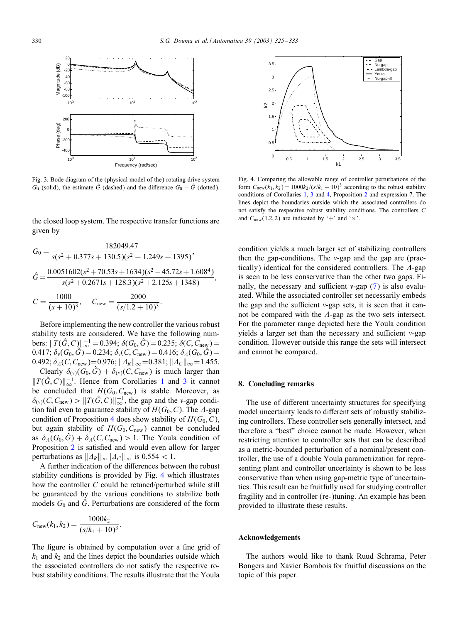<span id="page-5-0"></span>

Fig. 3. Bode diagram of the (physical model of the) rotating drive system  $G_0$  (solid), the estimate  $\hat{G}$  (dashed) and the difference  $G_0 - \hat{G}$  (dotted).

the closed loop system. The respective transfer functions are given by

$$
G_0 = \frac{182049.47}{s(s^2 + 0.377s + 130.5)(s^2 + 1.249s + 1395)},
$$
  
\n
$$
\hat{G} = \frac{0.0051602(s^2 + 70.53s + 1634)(s^2 - 45.72s + 1.608^4)}{s(s^2 + 0.2671s + 128.3)(s^2 + 2.125s + 1348)},
$$
  
\n
$$
C = \frac{1000}{(s + 10)^3}, \quad C_{\text{new}} = \frac{2000}{(s/1.2 + 10)^3}.
$$

Before implementing the new controller the various robust stability tests are considered. We have the following numbers:  $||T(\hat{G}, C)||_{\infty}^{-1} = 0.394$ ;  $\delta(G_0, \hat{G}) = 0.235$ ;  $\delta(C, C_{\text{new}}) =$ 0.417;  $\delta_{\nu}(G_0, \hat{G}) = 0.234$ ;  $\delta_{\nu}(C, C_{\text{new}}) = 0.416$ ;  $\delta_{\Lambda}(G_0, \hat{G}) =$ 0.492;  $\delta_A(C, C_{\text{new}}) = 0.976$ ;  $||A_R||_{\infty} = 0.381$ ;  $||A_C||_{\infty} = 1.455$ .

Clearly  $\delta_{(v)}(G_0, \tilde{G}) + \delta_{(v)}(C, C_{\text{new}})$  is much larger than  $||T(\hat{G}, C)||_{\infty}^{-1}$  $||T(\hat{G}, C)||_{\infty}^{-1}$  $||T(\hat{G}, C)||_{\infty}^{-1}$ . Hence from Corollaries 1 and [3](#page-4-0) it cannot be concluded that  $H(G_0, C_{\text{new}})$  is stable. Moreover, as  $\delta_{(v)}(C, C_{\text{new}}) > ||T(\hat{G}, C)||_{\infty}^{-1}$ , the gap and the v-gap condition fail even to guarantee stability of  $H(G_0, C)$ . The  $\Lambda$ -gap condition of Proposition [4](#page-4-0) does show stability of  $H(G_0, C)$ , but again stability of  $H(G_0, C_{\text{new}})$  cannot be concluded as  $\delta_A(G_0, \hat{G}) + \delta_A(C, C_{\text{new}}) > 1$ . The Youla condition of Proposition [2](#page-2-0) is satisfied and would even allow for larger perturbations as  $||\Delta_R||_{\infty}||\Delta_C||_{\infty}$  is 0.554 < 1.

A further indication of the differences between the robust stability conditions is provided by Fig. 4 which illustrates how the controller  $C$  could be retuned/perturbed while still be guaranteed by the various conditions to stabilize both models  $G_0$  and  $\hat{G}$ . Perturbations are considered of the form

$$
C_{\text{new}}(k_1, k_2) = \frac{1000k_2}{(s/k_1 + 10)^3}.
$$

The figure is obtained by computation over a fine grid of  $k_1$  and  $k_2$  and the lines depict the boundaries outside which the associated controllers do not satisfy the respective robust stability conditions. The results illustrate that the Youla



Fig. 4. Comparing the allowable range of controller perturbations of the form  $C_{\text{new}}(k_1, k_2) = 1000k_2/(s/k_1 + 10)^3$  according to the robust stability conditions of Corollaries [1,](#page-3-0) [3](#page-4-0) and [4,](#page-4-0) Proposition [2](#page-2-0) andexpression 7. The lines depict the boundaries outside which the associated controllers do not satisfy the respective robust stability conditions. The controllers C and  $C_{\text{new}}(1.2, 2)$  are indicated by '+' and ' $\times$ '.

condition yields a much larger set of stabilizing controllers then the gap-conditions. The  $v$ -gap and the gap are (practically) identical for the considered controllers. The  $\Lambda$ -gap is seen to be less conservative than the other two gaps. Finally, the necessary and sufficient  $v$ -gap [\(7\)](#page-4-0) is also evaluated. While the associated controller set necessarily embeds the gap and the sufficient  $v$ -gap sets, it is seen that it cannot be compared with the  $\Lambda$ -gap as the two sets intersect. For the parameter range depicted here the Youla condition yields a larger set than the necessary and sufficient  $v$ -gap condition. However outside this range the sets will intersect and cannot be compared.

# 8. Concluding remarks

The use of different uncertainty structures for specifying model uncertainty leads to different sets of robustly stabilizing controllers. These controller sets generally intersect, and therefore a "best" choice cannot be made. However, when restricting attention to controller sets that can be described as a metric-bounded perturbation of a nominal/present controller, the use of a double Youla parametrization for representing plant and controller uncertainty is shown to be less conservative than when using gap-metric type of uncertainties. This result can be fruitfully used for studying controller fragility and in controller (re-)tuning. An example has been provided to illustrate these results.

#### Acknowledgements

The authors would like to thank Ruud Schrama, Peter Bongers and Xavier Bombois for fruitful discussions on the topic of this paper.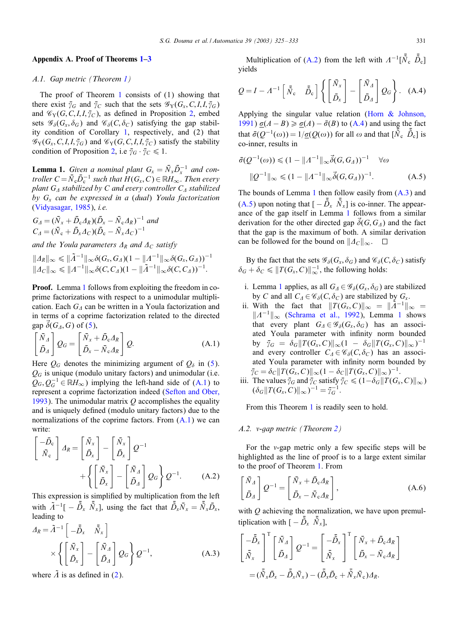#### <span id="page-6-0"></span>Appendix A. Proof of Theorems [1](#page-3-0)[–3](#page-4-0)

# *A.1. Gap metric (Theorem [1\)](#page-3-0)*

The proof of Theorem [1](#page-3-0) consists of (1) showing that there exist  $\bar{\gamma}_G$  and  $\bar{\gamma}_C$  such that the sets  $\mathscr{G}_Y(G_x, C, I, I, \bar{\gamma}_G)$ and  $\mathscr{C}_{Y}(G, C, I, I, \bar{\gamma}_{C})$ , as defined in Proposition [2,](#page-2-0) embed sets  $\mathscr{G}_{\delta}(G_x, \delta_G)$  and  $\mathscr{G}_{\delta}(C, \delta_C)$  satisfying the gap stabil-ity condition of Corollary [1,](#page-3-0) respectively, and  $(2)$  that  $\mathscr{G}_{Y}(G_{x}, C, I, I, \bar{\gamma}_{G})$  and  $\mathscr{G}_{Y}(G, C, I, I, \bar{\gamma}_{C})$  satisfy the stability condition of Proposition [2,](#page-2-0) i.e  $\bar{\gamma}_G \cdot \bar{\gamma}_C \leq 1$ .

**Lemma 1.** *Given a nominal plant*  $G_x = \overline{N}_x \overline{D}_x^{-1}$  *and controller*  $C = \overline{N}_{\rm c} \overline{D}_{\rm c}^{-1}$  *such that*  $H(G_{\rm x}, C) \in \mathbb{R}$ *H*<sub>∞</sub>. *Then every plant*  $G_A$  *stabilized by* C *and every controller*  $C_A$  *stabilized by* Gx *can be expressed in a* (*dual*) *Youla factorization* [\(Vidyasagar, 1985\)](#page-7-0), *i.e.*

$$
G_A = (\bar{N}_x + \bar{D}_c A_R)(\bar{D}_x - \bar{N}_c A_R)^{-1}
$$
 and  

$$
C_A = (\bar{N}_c + \bar{D}_x A_C)(\bar{D}_c - \bar{N}_x A_C)^{-1}
$$

*and the Youla parameters*  $\Delta_R$  *and*  $\Delta_C$  *satisfy* 

$$
||A_R||_{\infty} \le ||\tilde{A}^{-1}||_{\infty} \delta(G_x, G_A)(1 - ||A^{-1}||_{\infty} \delta(G_x, G_A))^{-1}
$$
  

$$
||A_C||_{\infty} \le ||A^{-1}||_{\infty} \delta(C, C_A)(1 - ||\tilde{A}^{-1}||_{\infty} \delta(C, C_A))^{-1}.
$$

**Proof.** Lemma 1 follows from exploiting the freedom in coprime factorizations with respect to a unimodular multiplication. Each  $G_A$  can be written in a Youla factorization and in terms of a coprime factorization related to the directed gap  $\delta(G_A, G)$  of [\(5\)](#page-2-0),

$$
\begin{bmatrix} \bar{N}_A \\ \bar{D}_A \end{bmatrix} Q_G = \begin{bmatrix} \bar{N}_x + \bar{D}_c A_R \\ \bar{D}_x - \bar{N}_c A_R \end{bmatrix} Q.
$$
 (A.1)

Here  $Q_G$  denotes the minimizing argument of  $Q_\delta$  in [\(5\)](#page-2-0).  $Q_G$  is unique (modulo unitary factors) and unimodular (i.e.  $Q_G, Q_G^{-1} \in \mathbb{R}H_\infty$ ) implying the left-hand side of (A.1) to represent a coprime factorization indeed (Sefton and Ober, [1993\)](#page-7-0). The unimodular matrix  $Q$  accomplishes the equality and is uniquely defined (modulo unitary factors) due to the normalizations of the coprime factors. From  $(A,1)$  we can write:

$$
\begin{bmatrix} -\bar{D}_{c} \\ \bar{N}_{c} \end{bmatrix} A_{R} = \begin{bmatrix} \bar{N}_{x} \\ \bar{D}_{x} \end{bmatrix} - \begin{bmatrix} \bar{N}_{x} \\ \bar{D}_{x} \end{bmatrix} Q^{-1} + \left\{ \begin{bmatrix} \bar{N}_{x} \\ \bar{D}_{x} \end{bmatrix} - \begin{bmatrix} \bar{N}_{A} \\ \bar{D}_{A} \end{bmatrix} Q_{G} \right\} Q^{-1}.
$$
 (A.2)

This expression is simplified by multiplication from the left with  $\tilde{A}^{-1}[-\bar{\tilde{D}}_x \bar{\tilde{N}}_x]$ , using the fact that  $\bar{\tilde{D}}_x \bar{N}_x = \bar{\tilde{N}}_x \bar{D}_x$ , leading to

$$
\Delta_R = \tilde{A}^{-1} \left[ -\tilde{D}_x \quad \tilde{\bar{N}}_x \right] \times \left\{ \left[ \begin{array}{c} \bar{N}_x \\ \bar{D}_x \end{array} \right] - \left[ \begin{array}{c} \bar{N}_A \\ \bar{D}_A \end{array} \right] Q_G \right\} Q^{-1}, \tag{A.3}
$$

where  $\overline{A}$  is as defined in [\(2\)](#page-1-0).

Multiplication of (A.2) from the left with  $A^{-1}[\bar{\tilde{N}}_c \; \tilde{\tilde{D}}_c]$ yields

$$
Q = I - A^{-1} \begin{bmatrix} \bar{N}_c & \bar{D}_c \end{bmatrix} \left\{ \begin{bmatrix} \bar{N}_x \\ \bar{D}_x \end{bmatrix} - \begin{bmatrix} \bar{N}_A \\ \bar{D}_A \end{bmatrix} Q_G \right\}.
$$
 (A.4)

Applying the singular value relation [\(Horn & Johnson,](#page-7-0) [1991\)](#page-7-0)  $\sigma(A - B) \ge \sigma(A) - \bar{\sigma}(B)$  to (A.4) and using the fact that  $\bar{\sigma}(Q^{-1}(\omega)) = 1/\underline{\sigma}(Q(\omega))$  for all  $\omega$  and that  $[\bar{\tilde{N}}_c \ \bar{\tilde{D}}_c]$  is co-inner, results in

$$
\bar{\sigma}(Q^{-1}(\omega)) \le (1 - \|A^{-1}\|_{\infty} \vec{\delta}(G, G_A))^{-1} \quad \forall \omega
$$
  
 
$$
\|Q^{-1}\|_{\infty} \le (1 - \|A^{-1}\|_{\infty} \vec{\delta}(G, G_A))^{-1}.
$$
 (A.5)

The bounds of Lemma 1 then follow easily from  $(A.3)$  and (A.5) upon noting that  $[-\bar{\tilde{D}}_x \ \bar{\tilde{N}}_x]$  is co-inner. The appearance of the gap itself in Lemma 1 follows from a similar derivation for the other directed gap  $\overline{\delta}(G, G_4)$  and the fact that the gap is the maximum of both. A similar derivation can be followed for the bound on  $||A_C||_{\infty}$ .  $\square$ 

By the fact that the sets  $\mathscr{G}_{\delta}(G_x, \delta_G)$  and  $\mathscr{G}_{\delta}(C, \delta_C)$  satisfy  $\delta_G + \delta_C \leqslant ||T(G_x, C)||_{\infty}^{-1}$ , the following holds:

- i. Lemma 1 applies, as all  $G_A \in \mathscr{G}_{\delta}(G_x, \delta_G)$  are stabilized by C and all  $C_4 \in \mathcal{C}_{\delta}(C, \delta_C)$  are stabilized by  $G_x$ .
- ii. With the fact that  $||T(G_x, C)||_{\infty} = ||\tilde{A}^{-1}||_{\infty} =$  $||A^{-1}||_{\infty}$  [\(Schrama et al., 1992\)](#page-7-0), Lemma 1 shows that every plant  $G_A \in \mathscr{G}_{\delta}(G_x, \delta_G)$  has an associated Youla parameter with infinity norm bounded by  $\bar{\gamma}_G = \delta_G ||T(G_x, C)||_{\infty} (1 - \delta_G ||T(G_x, C)||_{\infty})^{-1}$ and every controller  $C_1 \in \mathcal{C}_{\delta}(C, \delta_C)$  has an associated Youla parameter with infinity norm bounded by  $\bar{\gamma}_C = \delta_C ||T(G_x, C)||_{\infty} (1 - \delta_C ||T(G_x, C)||_{\infty})^{-1}.$
- iii. The values  $\bar{\gamma}_G$  and  $\bar{\gamma}_C$  satisfy  $\bar{\gamma}_C \leq (1-\delta_G ||T(G_x, C)||_{\infty})$  $(\delta_G || T(G_x, C) ||_{\infty})^{-1} = \overline{\gamma}_G^{-1}.$

From this Theorem [1](#page-3-0) is readily seen to hold.

#### *A.2. -gap metric (Theorem [2\)](#page-4-0)*

For the  $v$ -gap metric only a few specific steps will be highlighted as the line of proof is to a large extent similar to the proof of Theorem [1.](#page-3-0) From

$$
\begin{bmatrix} \bar{N}_A \\ \bar{D}_A \end{bmatrix} Q^{-1} = \begin{bmatrix} \bar{N}_x + \bar{D}_c A_R \\ \bar{D}_x - \bar{N}_c A_R \end{bmatrix},
$$
(A.6)

with  $Q$  achieving the normalization, we have upon premultiplication with  $[-\bar{\tilde{D}}_x \; \bar{\tilde{N}}_x]$ ,

$$
\begin{bmatrix} -\tilde{D}_x \\ \tilde{N}_x \end{bmatrix}^{\mathrm{T}} \begin{bmatrix} \tilde{N}_A \\ \tilde{D}_A \end{bmatrix} Q^{-1} = \begin{bmatrix} -\tilde{D}_x \\ \tilde{N}_x \end{bmatrix}^{\mathrm{T}} \begin{bmatrix} \tilde{N}_x + \tilde{D}_c A_R \\ \tilde{D}_x - \tilde{N}_c A_R \end{bmatrix}
$$

$$
= (\tilde{N}_x \tilde{D}_x - \tilde{D}_x \tilde{N}_x) - (\tilde{D}_x \tilde{D}_c + \tilde{N}_x \tilde{N}_c) A_R.
$$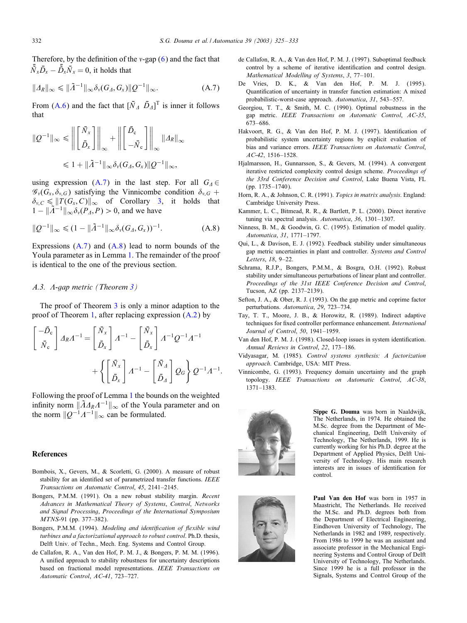<span id="page-7-0"></span>Therefore, by the definition of the  $v$ -gap  $(6)$  and the fact that  $\bar{\tilde{N}}_x \bar{D}_x - \bar{\tilde{D}}_x \bar{N}_x = 0$ , it holds that

$$
||A_R||_{\infty} \leq ||\tilde{A}^{-1}||_{\infty} \delta_{\nu}(G_A, G_{X}) ||Q^{-1}||_{\infty}.
$$
 (A.7)

From [\(A.6\)](#page-6-0) and the fact that  $[\bar{N}_A \ \bar{D}_A]^T$  is inner it follows that

$$
||Q^{-1}||_{\infty} \leq ||\left[\begin{matrix} \bar{N}_x \\ \bar{D}_x \end{matrix}\right]||_{\infty} + ||\left[\begin{matrix} \bar{D}_c \\ -\bar{N}_c \end{matrix}\right]||_{\infty} ||A_R||_{\infty}
$$
  

$$
\leq 1 + ||\tilde{A}^{-1}||_{\infty} \delta_v(G_A, G_x) ||Q^{-1}||_{\infty},
$$

using expression (A.7) in the last step. For all  $G_4 \in$  $\mathscr{G}_{\nu}(G_{x}, \delta_{\nu,G})$  satisfying the Vinnicombe condition  $\delta_{\nu,G}$  +  $\delta_{v,C} \leq \Vert T(G_x, C) \Vert_{\infty}$  of Corollary [3,](#page-4-0) it holds that  $1 - ||\tilde{A}^{-1}||_{\infty} \delta_{\nu}(P_A, P) > 0$ , and we have

$$
||Q^{-1}||_{\infty} \leq (1 - ||\tilde{A}^{-1}||_{\infty} \delta_{\nu}(G_A, G_x))^{-1}.
$$
 (A.8)

Expressions  $(A.7)$  and  $(A.8)$  lead to norm bounds of the Youla parameter as in Lemma [1.](#page-6-0) The remainder of the proof is identical to the one of the previous section.

#### *A.3. -gap metric (Theorem [3\)](#page-4-0)*

The proof of Theorem [3](#page-4-0) is only a minor adaption to the proof of Theorem [1,](#page-3-0) after replacing expression [\(A.2\)](#page-6-0) by

$$
\begin{bmatrix} -\bar{D}_{c} \\ \bar{N}_{c} \end{bmatrix} A_R A^{-1} = \begin{bmatrix} \bar{N}_x \\ \bar{D}_x \end{bmatrix} A^{-1} - \begin{bmatrix} \bar{N}_x \\ \bar{D}_x \end{bmatrix} A^{-1} Q^{-1} A^{-1}
$$

$$
+ \left\{ \begin{bmatrix} \bar{N}_x \\ \bar{D}_x \end{bmatrix} A^{-1} - \begin{bmatrix} \bar{N}_A \\ \bar{D}_A \end{bmatrix} Q_G \right\} Q^{-1} A^{-1}
$$

Following the proof of Lemma [1](#page-6-0) the bounds on the weighted infinity norm  $\|\tilde{A}A_RA^{-1}\|_{\infty}$  of the Youla parameter and on the norm  $||Q^{-1}A^{-1}||_{\infty}$  can be formulated.

#### References

- Bombois, X., Gevers, M., & Scorletti, G. (2000). A measure of robust stability for an identified set of parametrized transfer functions. IEEE *Transactions on Automatic Control*, *45*, 2141–2145.
- Bongers, P.M.M. (1991). On a new robust stability margin. *Recent Advances in Mathematical Theory of Systems*, *Control*, *Networks and Signal Processing*, *Proceedings of the International Symposium MTNS*-91 (pp. 377–382).
- Bongers, P.M.M. (1994). *Modeling and identification of flexible wind turbines and a factorizational approach to robust control*. Ph.D. thesis, Delft Univ. of Techn., Mech. Eng. Systems and Control Group.
- de Callafon, R. A., Van den Hof, P. M. J., & Bongers, P. M. M. (1996). A unified approach to stability robustness for uncertainty descriptions based on fractional model representations. *IEEE Transactions on Automatic Control*, *AC-41*, 723–727.
- de Callafon, R. A., & Van den Hof, P. M. J. (1997). Suboptimal feedback control by a scheme of iterative identification and control design. *Mathematical Modelling of Systems*, *3*, 77–101.
- De Vries, D. K., & Van den Hof, P. M. J. (1995). Quantification of uncertainty in transfer function estimation: A mixed probabilistic-worst-case approach. *Automatica*, *31*, 543–557.
- Georgiou, T. T., & Smith, M. C. (1990). Optimal robustness in the gap metric. *IEEE Transactions on Automatic Control*, *AC-35*, 673–686.
- Hakvoort, R. G., & Van den Hof, P. M. J. (1997). Identification of probabilistic system uncertainty regions by explicit evaluation of bias and variance errors. *IEEE Transactions on Automatic Control*, *AC-42*, 1516–1528.
- Hjalmarsson, H., Gunnarsson, S., & Gevers, M. (1994). A convergent iterative restricted complexity control design scheme. *Proceedings of the 33rd Conference Decision and Control*, Lake Buena Vista, FL  $(pn. 1735 - 1740)$
- Horn, R. A., & Johnson, C. R. (1991). *Topics in matrix analysis*. England: Cambridge University Press.
- Kammer, L. C., Bitmead, R. R., & Bartlett, P. L. (2000). Direct iterative tuning via spectral analysis. *Automatica*, *36*, 1301–1307.
- Ninness, B. M., & Goodwin, G. C. (1995). Estimation of model quality. *Automatica*, *31*, 1771–1797.
- Qui, L., & Davison, E. J. (1992). Feedback stability under simultaneous gap metric uncertainties in plant andcontroller. *Systems and Control Letters*, *18*, 9–22.
- Schrama, R.J.P., Bongers, P.M.M., & Bosgra, O.H. (1992). Robust stability under simultaneous perturbations of linear plant and controller. *Proceedings of the 31st IEEE Conference Decision and Control*, Tucson, AZ (pp. 2137–2139).
- Sefton, J. A., & Ober, R. J. (1993). On the gap metric and coprime factor perturbations. *Automatica*, *29*, 723–734.
- Tay, T. T., Moore, J. B., & Horowitz, R. (1989). Indirect adaptive techniques for fixed controller performance enhancement. *International Journal of Control*, *50*, 1941–1959.
- Van den Hof, P. M. J. (1998). Closed-loop issues in system identification. *Annual Reviews in Control*, *22*, 173–186.
- Vidyasagar, M. (1985). *Control systems synthesis: A factorization approach*. Cambridge, USA: MIT Press.
- Vinnicombe, G. (1993). Frequency domain uncertainty and the graph topology. *IEEE Transactions on Automatic Control*, *AC-38*, 1371–1383.



:



Sippe G. Douma was born in Naaldwijk, The Netherlands, in 1974. He obtained the M.Sc. degree from the Department of Mechanical Engineering, Delft University of Technology, The Netherlands, 1999. He is currently working for his Ph.D. degree at the Department of Applied Physics, Delft University of Technology. His main research interests are in issues of identification for control.

Paul Van den Hof was born in 1957 in Maastricht, The Netherlands. He received the M.Sc. and Ph.D. degrees both from the Department of Electrical Engineering, Eindhoven University of Technology, The Netherlands in 1982 and 1989, respectively. From 1986 to 1999 he was an assistant and associate professor in the Mechanical Engineering Systems and Control Group of Delft University of Technology, The Netherlands. Since 1999 he is a full professor in the Signals, Systems and Control Group of the